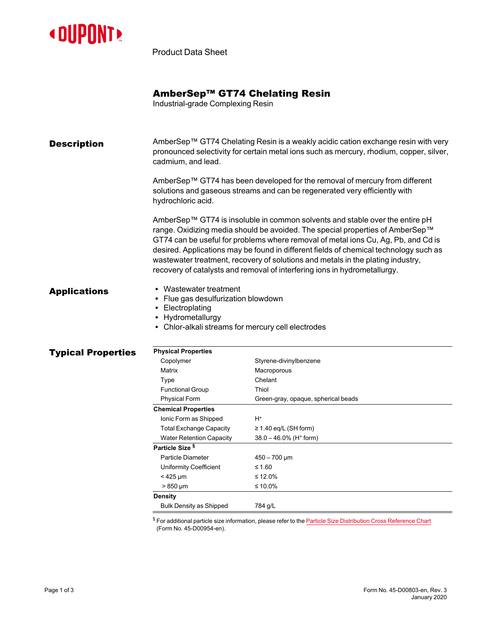

Product Data Sheet

# AmberSep™ GT74 Chelating Resin

Industrial-grade Complexing Resin

| <b>Description</b>        | cadmium, and lead.                                                                                                                                         | AmberSep™ GT74 Chelating Resin is a weakly acidic cation exchange resin with very<br>pronounced selectivity for certain metal ions such as mercury, rhodium, copper, silver,                                                                                                                                                                                                                                                                                                                                |
|---------------------------|------------------------------------------------------------------------------------------------------------------------------------------------------------|-------------------------------------------------------------------------------------------------------------------------------------------------------------------------------------------------------------------------------------------------------------------------------------------------------------------------------------------------------------------------------------------------------------------------------------------------------------------------------------------------------------|
|                           | hydrochloric acid.                                                                                                                                         | AmberSep™ GT74 has been developed for the removal of mercury from different<br>solutions and gaseous streams and can be regenerated very efficiently with                                                                                                                                                                                                                                                                                                                                                   |
|                           |                                                                                                                                                            | AmberSep™ GT74 is insoluble in common solvents and stable over the entire pH<br>range. Oxidizing media should be avoided. The special properties of AmberSep™<br>GT74 can be useful for problems where removal of metal ions Cu, Ag, Pb, and Cd is<br>desired. Applications may be found in different fields of chemical technology such as<br>wastewater treatment, recovery of solutions and metals in the plating industry,<br>recovery of catalysts and removal of interfering ions in hydrometallurgy. |
| <b>Applications</b>       | Wastewater treatment<br>• Flue gas desulfurization blowdown<br>• Electroplating<br>• Hydrometallurgy<br>• Chlor-alkali streams for mercury cell electrodes |                                                                                                                                                                                                                                                                                                                                                                                                                                                                                                             |
| <b>Typical Properties</b> | <b>Physical Properties</b>                                                                                                                                 |                                                                                                                                                                                                                                                                                                                                                                                                                                                                                                             |
|                           | Copolymer                                                                                                                                                  | Styrene-divinylbenzene                                                                                                                                                                                                                                                                                                                                                                                                                                                                                      |
|                           | Matrix                                                                                                                                                     | Macroporous                                                                                                                                                                                                                                                                                                                                                                                                                                                                                                 |
|                           | Type                                                                                                                                                       | Chelant                                                                                                                                                                                                                                                                                                                                                                                                                                                                                                     |
|                           | <b>Functional Group</b>                                                                                                                                    | Thiol                                                                                                                                                                                                                                                                                                                                                                                                                                                                                                       |
|                           | <b>Physical Form</b>                                                                                                                                       | Green-gray, opaque, spherical beads                                                                                                                                                                                                                                                                                                                                                                                                                                                                         |
|                           | <b>Chemical Properties</b>                                                                                                                                 |                                                                                                                                                                                                                                                                                                                                                                                                                                                                                                             |
|                           | Ionic Form as Shipped                                                                                                                                      | H+                                                                                                                                                                                                                                                                                                                                                                                                                                                                                                          |
|                           | <b>Total Exchange Capacity</b>                                                                                                                             | $\geq$ 1.40 eq/L (SH form)                                                                                                                                                                                                                                                                                                                                                                                                                                                                                  |
|                           | <b>Water Retention Capacity</b>                                                                                                                            | $38.0 - 46.0\%$ (H <sup>+</sup> form)                                                                                                                                                                                                                                                                                                                                                                                                                                                                       |
|                           | Particle Size <sup>§</sup>                                                                                                                                 |                                                                                                                                                                                                                                                                                                                                                                                                                                                                                                             |
|                           | Particle Diameter                                                                                                                                          | $450 - 700 \,\text{µm}$                                                                                                                                                                                                                                                                                                                                                                                                                                                                                     |
|                           | Uniformity Coefficient                                                                                                                                     | $≤ 1.60$                                                                                                                                                                                                                                                                                                                                                                                                                                                                                                    |
|                           | $<$ 425 µm                                                                                                                                                 | ≤ 12.0%                                                                                                                                                                                                                                                                                                                                                                                                                                                                                                     |
|                           | $> 850 \,\mu m$                                                                                                                                            | ≤ 10.0%                                                                                                                                                                                                                                                                                                                                                                                                                                                                                                     |
|                           | <b>Density</b>                                                                                                                                             |                                                                                                                                                                                                                                                                                                                                                                                                                                                                                                             |
|                           | <b>Bulk Density as Shipped</b>                                                                                                                             | 784 g/L                                                                                                                                                                                                                                                                                                                                                                                                                                                                                                     |
|                           |                                                                                                                                                            |                                                                                                                                                                                                                                                                                                                                                                                                                                                                                                             |

 $§$  For additional particle size information, please refer to the Particle Size [Distribution](https://www.dupont.com/content/dam/dupont/amer/us/en/water-solutions/public/documents/en/45-D00954-en.pdf) Cross Reference Chart (Form No. 45-D00954-en).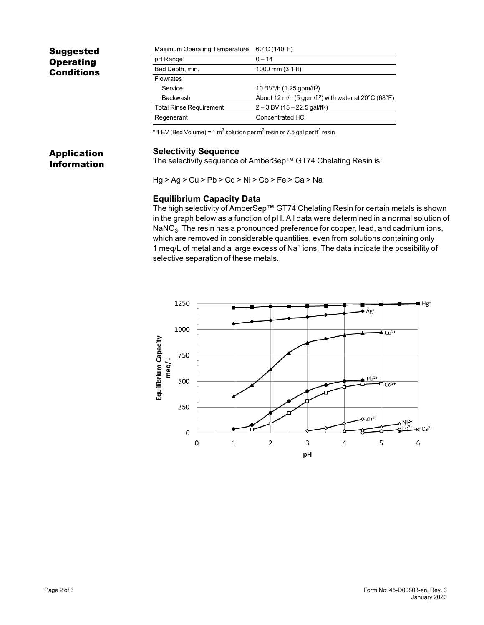# Suggested **Operating** Conditions

Application Information

| Maximum Operating Temperature  | $60^{\circ}$ C (140 $^{\circ}$ F)                                                    |
|--------------------------------|--------------------------------------------------------------------------------------|
| pH Range                       | $0 - 14$                                                                             |
| Bed Depth, min.                | 1000 mm $(3.1 \text{ ft})$                                                           |
| <b>Flowrates</b>               |                                                                                      |
| Service                        | 10 BV*/h $(1.25$ gpm/ft <sup>3</sup> )                                               |
| <b>Backwash</b>                | About 12 m/h (5 gpm/ft <sup>2</sup> ) with water at $20^{\circ}$ C (68 $^{\circ}$ F) |
| <b>Total Rinse Requirement</b> | $2 - 3$ BV (15 – 22.5 gal/ft <sup>3</sup> )                                          |
| Regenerant                     | <b>Concentrated HCI</b>                                                              |

 $^*$  1 BV (Bed Volume) = 1 m $^3$  solution per m $^3$  resin or 7.5 gal per ft $^3$  resin

### **Selectivity Sequence**

The selectivity sequence of AmberSep™ GT74 Chelating Resin is:

Hg > Ag > Cu > Pb > Cd > Ni > Co > Fe > Ca > Na

### **Equilibrium Capacity Data**

The high selectivity of AmberSep™ GT74 Chelating Resin for certain metals is shown in the graph below as a function of pH. All data were determined in a normal solution of NaNO $_3\!$ . The resin has a pronounced preference for copper, lead, and cadmium ions, which are removed in considerable quantities, even from solutions containing only 1 meq/L of metal and a large excess of Na<sup>+</sup> ions. The data indicate the possibility of selective separation of these metals.